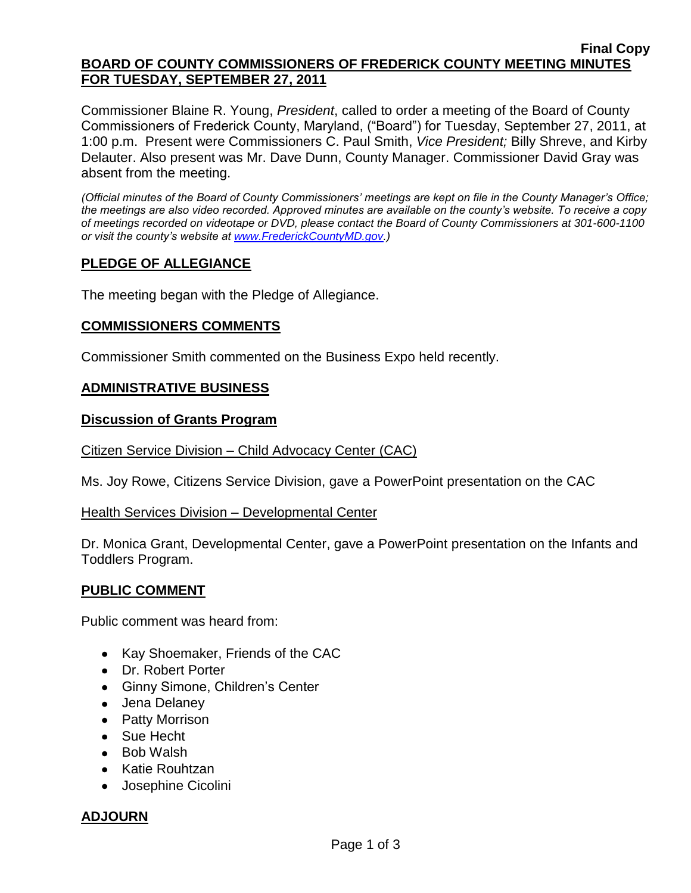## **Final Copy BOARD OF COUNTY COMMISSIONERS OF FREDERICK COUNTY MEETING MINUTES FOR TUESDAY, SEPTEMBER 27, 2011**

Commissioner Blaine R. Young, *President*, called to order a meeting of the Board of County Commissioners of Frederick County, Maryland, ("Board") for Tuesday, September 27, 2011, at 1:00 p.m. Present were Commissioners C. Paul Smith, *Vice President;* Billy Shreve, and Kirby Delauter. Also present was Mr. Dave Dunn, County Manager. Commissioner David Gray was absent from the meeting.

*(Official minutes of the Board of County Commissioners' meetings are kept on file in the County Manager's Office; the meetings are also video recorded. Approved minutes are available on the county's website. To receive a copy of meetings recorded on videotape or DVD, please contact the Board of County Commissioners at 301-600-1100 or visit the county's website at [www.FrederickCountyMD.gov.](http://www.frederickcountymd.gov/))*

# **PLEDGE OF ALLEGIANCE**

The meeting began with the Pledge of Allegiance.

## **COMMISSIONERS COMMENTS**

Commissioner Smith commented on the Business Expo held recently.

## **ADMINISTRATIVE BUSINESS**

## **Discussion of Grants Program**

#### Citizen Service Division – Child Advocacy Center (CAC)

Ms. Joy Rowe, Citizens Service Division, gave a PowerPoint presentation on the CAC

## Health Services Division – Developmental Center

Dr. Monica Grant, Developmental Center, gave a PowerPoint presentation on the Infants and Toddlers Program.

## **PUBLIC COMMENT**

Public comment was heard from:

- Kay Shoemaker, Friends of the CAC
- Dr. Robert Porter
- Ginny Simone, Children's Center
- Jena Delaney
- Patty Morrison
- Sue Hecht
- Bob Walsh
- Katie Rouhtzan
- Josephine Cicolini

## **ADJOURN**